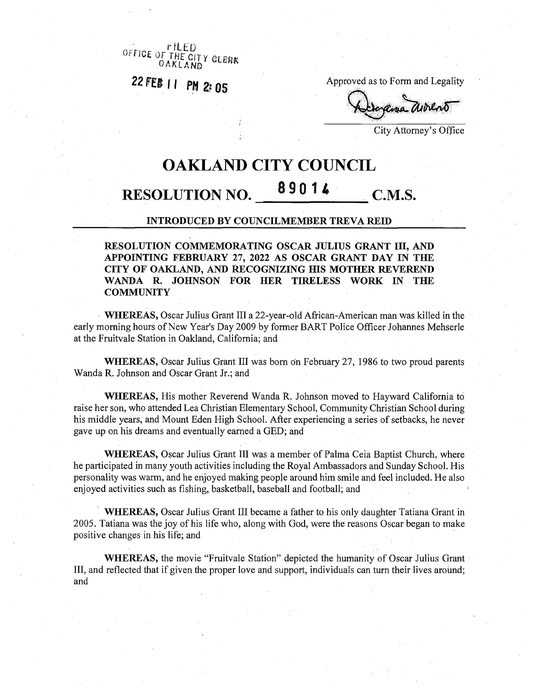*office or'the ary* OAKLAND<sup>I GLERK</sup>

22 FEB 11 PM 2:05

Approved as to Form and Legality

**«5f**

City Attorney's Office

## **OAKLAND CITY COUNCIL**

# **<sup>8</sup> <sup>9</sup> <sup>0</sup> <sup>1</sup> <sup>4</sup> RESOLUTION NO. C.M.S.**

#### **INTRODUCED BY COUNCILMEMBER TREVA REID**

**RESOLUTION COMMEMORATING OSCAR JULIUS GRANT in, AND APPOINTING FEBRUARY 27, 2022 AS OSCAR GRANT DAY IN THE CITY OF OAKLAND, AND RECOGNIZING HIS MOTHER REVEREND WANDA R. JOHNSON FOR HER TIRELESS WORK IN THE COMMUNITY**

**WHEREAS,** Oscar Julius Grant III a 22-year-old African-American man was killed in the early morning hours of New Year's Day 2009 by former BART Police Officer Johannes Mehserle at the Fruitvale Station in Oakland, California; and

WHEREAS, Oscar Julius Grant III was born on February 27, 1986 to two proud parents Wanda R. Johnson and Oscar Grant Jr.; and

**WHEREAS,** His mother Reverend Wanda R. Johnson moved to Hayward California to raise her son, who attended Lea Christian Elementary School, Community Christian School during his middle years, and Mount Eden High School. After experiencing a series of setbacks, he never gave up on his dreams and eventually earned a GED; and

**WHEREAS,** Oscar Julius Grant III was a member of Palma Ceia Baptist Church, where he participated in many youth activities including the Royal Ambassadors and Sunday School. His personality was warm, and he enjoyed making people around him smile and feel included. He also enjoyed activities such as fishing, basketball, baseball and football; and

**WHEREAS,** Oscar Julius Grant III became a father to his only daughter Tatiana Grant in 2005. Tatiana was the joy of his life who, along with God, were the reasons Oscar began to make positive changes in his life; and

**WHEREAS,** the movie "Fruitvale Station" depicted the humanity of Oscar Julius Grant III, and reflected that if given the proper love and support, individuals can turn their lives around; and